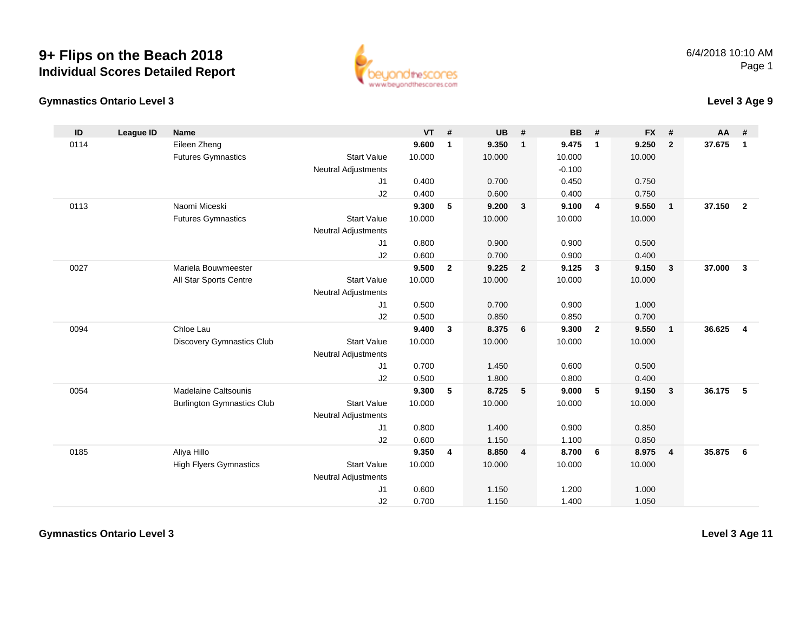**Gymnastics Ontario Level 3**



## **Level 3 Age 9**

| ID   | League ID | <b>Name</b>                       |                            | <b>VT</b> | #            | <b>UB</b> | #              | <b>BB</b> | #              | <b>FX</b> | #              | $AA$ # |                         |
|------|-----------|-----------------------------------|----------------------------|-----------|--------------|-----------|----------------|-----------|----------------|-----------|----------------|--------|-------------------------|
| 0114 |           | Eileen Zheng                      |                            | 9.600     | 1            | 9.350     | $\mathbf{1}$   | 9.475     | $\mathbf{1}$   | 9.250     | $\overline{2}$ | 37.675 | $\mathbf{1}$            |
|      |           | <b>Futures Gymnastics</b>         | <b>Start Value</b>         | 10.000    |              | 10.000    |                | 10.000    |                | 10.000    |                |        |                         |
|      |           |                                   | <b>Neutral Adjustments</b> |           |              |           |                | $-0.100$  |                |           |                |        |                         |
|      |           |                                   | J1                         | 0.400     |              | 0.700     |                | 0.450     |                | 0.750     |                |        |                         |
|      |           |                                   | J2                         | 0.400     |              | 0.600     |                | 0.400     |                | 0.750     |                |        |                         |
| 0113 |           | Naomi Miceski                     |                            | 9.300     | 5            | 9.200     | $\mathbf{3}$   | 9.100     | $\overline{4}$ | 9.550     | $\overline{1}$ | 37.150 | $\overline{2}$          |
|      |           | <b>Futures Gymnastics</b>         | <b>Start Value</b>         | 10.000    |              | 10.000    |                | 10.000    |                | 10.000    |                |        |                         |
|      |           |                                   | <b>Neutral Adjustments</b> |           |              |           |                |           |                |           |                |        |                         |
|      |           |                                   | J1                         | 0.800     |              | 0.900     |                | 0.900     |                | 0.500     |                |        |                         |
|      |           |                                   | J2                         | 0.600     |              | 0.700     |                | 0.900     |                | 0.400     |                |        |                         |
| 0027 |           | Mariela Bouwmeester               |                            | 9.500     | $\mathbf{2}$ | 9.225     | $\overline{2}$ | 9.125     | $\mathbf{3}$   | 9.150     | $\mathbf{3}$   | 37,000 | $\mathbf{3}$            |
|      |           | All Star Sports Centre            | <b>Start Value</b>         | 10.000    |              | 10.000    |                | 10.000    |                | 10.000    |                |        |                         |
|      |           |                                   | <b>Neutral Adjustments</b> |           |              |           |                |           |                |           |                |        |                         |
|      |           |                                   | J1                         | 0.500     |              | 0.700     |                | 0.900     |                | 1.000     |                |        |                         |
|      |           |                                   | J2                         | 0.500     |              | 0.850     |                | 0.850     |                | 0.700     |                |        |                         |
| 0094 |           | Chloe Lau                         |                            | 9.400     | 3            | 8.375     | 6              | 9.300     | $\overline{2}$ | 9.550     | $\overline{1}$ | 36.625 | $\overline{\mathbf{4}}$ |
|      |           | <b>Discovery Gymnastics Club</b>  | <b>Start Value</b>         | 10.000    |              | 10.000    |                | 10.000    |                | 10.000    |                |        |                         |
|      |           |                                   | <b>Neutral Adjustments</b> |           |              |           |                |           |                |           |                |        |                         |
|      |           |                                   | J1                         | 0.700     |              | 1.450     |                | 0.600     |                | 0.500     |                |        |                         |
|      |           |                                   | J2                         | 0.500     |              | 1.800     |                | 0.800     |                | 0.400     |                |        |                         |
| 0054 |           | <b>Madelaine Caltsounis</b>       |                            | 9.300     | 5            | 8.725     | 5              | 9.000     | 5              | 9.150     | $\mathbf{3}$   | 36.175 | 5                       |
|      |           | <b>Burlington Gymnastics Club</b> | <b>Start Value</b>         | 10.000    |              | 10.000    |                | 10.000    |                | 10.000    |                |        |                         |
|      |           |                                   | <b>Neutral Adjustments</b> |           |              |           |                |           |                |           |                |        |                         |
|      |           |                                   | J1                         | 0.800     |              | 1.400     |                | 0.900     |                | 0.850     |                |        |                         |
|      |           |                                   | J2                         | 0.600     |              | 1.150     |                | 1.100     |                | 0.850     |                |        |                         |
| 0185 |           | Aliya Hillo                       |                            | 9.350     | 4            | 8.850     | 4              | 8.700     | 6              | 8.975     | $\overline{4}$ | 35.875 | 6                       |
|      |           | <b>High Flyers Gymnastics</b>     | <b>Start Value</b>         | 10.000    |              | 10.000    |                | 10.000    |                | 10.000    |                |        |                         |
|      |           |                                   | <b>Neutral Adjustments</b> |           |              |           |                |           |                |           |                |        |                         |
|      |           |                                   | J <sub>1</sub>             | 0.600     |              | 1.150     |                | 1.200     |                | 1.000     |                |        |                         |
|      |           |                                   | J2                         | 0.700     |              | 1.150     |                | 1.400     |                | 1.050     |                |        |                         |

**Gymnastics Ontario Level 3**

**Level 3 Age 11**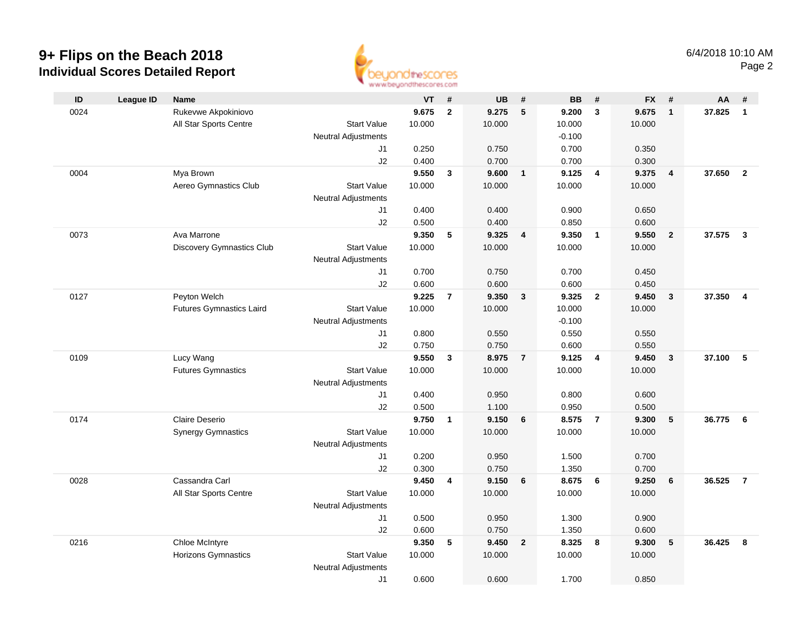

| ID   | <b>League ID</b> | <b>Name</b>                     |                            | VT             | #                       | <b>UB</b>      | #               | <b>BB</b>      | #              | <b>FX</b> | #                       | AA     | #                       |
|------|------------------|---------------------------------|----------------------------|----------------|-------------------------|----------------|-----------------|----------------|----------------|-----------|-------------------------|--------|-------------------------|
| 0024 |                  | Rukevwe Akpokiniovo             |                            | 9.675          | $\mathbf{2}$            | 9.275          | $5\phantom{.0}$ | 9.200          | $\mathbf{3}$   | 9.675     | $\overline{1}$          | 37.825 | $\mathbf{1}$            |
|      |                  | All Star Sports Centre          | <b>Start Value</b>         | 10.000         |                         | 10.000         |                 | 10.000         |                | 10.000    |                         |        |                         |
|      |                  |                                 | <b>Neutral Adjustments</b> |                |                         |                |                 | $-0.100$       |                |           |                         |        |                         |
|      |                  |                                 | J1                         | 0.250          |                         | 0.750          |                 | 0.700          |                | 0.350     |                         |        |                         |
|      |                  |                                 | J2                         | 0.400          |                         | 0.700          |                 | 0.700          |                | 0.300     |                         |        |                         |
| 0004 |                  | Mya Brown                       |                            | 9.550          | $\mathbf{3}$            | 9.600          | $\overline{1}$  | 9.125          | $\overline{4}$ | 9.375     | $\overline{4}$          | 37.650 | $\overline{2}$          |
|      |                  | Aereo Gymnastics Club           | <b>Start Value</b>         | 10.000         |                         | 10.000         |                 | 10.000         |                | 10.000    |                         |        |                         |
|      |                  |                                 | <b>Neutral Adjustments</b> |                |                         |                |                 |                |                |           |                         |        |                         |
|      |                  |                                 | J1                         | 0.400          |                         | 0.400          |                 | 0.900          |                | 0.650     |                         |        |                         |
|      |                  |                                 | J2                         | 0.500          |                         | 0.400          |                 | 0.850          |                | 0.600     |                         |        |                         |
| 0073 |                  | Ava Marrone                     |                            | 9.350          | 5                       | 9.325          | 4               | 9.350          | $\overline{1}$ | 9.550     | $\overline{2}$          | 37.575 | $\overline{\mathbf{3}}$ |
|      |                  | Discovery Gymnastics Club       | <b>Start Value</b>         | 10.000         |                         | 10.000         |                 | 10.000         |                | 10.000    |                         |        |                         |
|      |                  |                                 | <b>Neutral Adjustments</b> |                |                         |                |                 |                |                |           |                         |        |                         |
|      |                  |                                 | J1                         | 0.700          |                         | 0.750          |                 | 0.700          |                | 0.450     |                         |        |                         |
|      |                  |                                 | J2                         | 0.600          |                         | 0.600          |                 | 0.600          |                | 0.450     |                         |        |                         |
| 0127 |                  | Peyton Welch                    |                            | 9.225          | $\overline{7}$          | 9.350          | $\overline{3}$  | 9.325          | $\overline{2}$ | 9.450     | $\overline{\mathbf{3}}$ | 37.350 | $\overline{4}$          |
|      |                  | <b>Futures Gymnastics Laird</b> | <b>Start Value</b>         | 10.000         |                         | 10.000         |                 | 10.000         |                | 10.000    |                         |        |                         |
|      |                  |                                 | <b>Neutral Adjustments</b> |                |                         |                |                 | $-0.100$       |                |           |                         |        |                         |
|      |                  |                                 | J1                         | 0.800          |                         | 0.550          |                 | 0.550          |                | 0.550     |                         |        |                         |
|      |                  |                                 | J2                         | 0.750          |                         | 0.750          |                 | 0.600          |                | 0.550     |                         |        |                         |
| 0109 |                  | Lucy Wang                       |                            | 9.550          | 3                       | 8.975          | $\overline{7}$  | 9.125          | $\overline{4}$ | 9.450     | $\mathbf{3}$            | 37.100 | 5                       |
|      |                  | <b>Futures Gymnastics</b>       | <b>Start Value</b>         | 10.000         |                         | 10.000         |                 | 10.000         |                | 10.000    |                         |        |                         |
|      |                  |                                 | <b>Neutral Adjustments</b> |                |                         |                |                 |                |                |           |                         |        |                         |
|      |                  |                                 | J1                         | 0.400          |                         | 0.950          |                 | 0.800          |                | 0.600     |                         |        |                         |
|      |                  |                                 | J2                         | 0.500          |                         | 1.100          |                 | 0.950          |                | 0.500     |                         |        |                         |
| 0174 |                  | Claire Deserio                  |                            | 9.750          | $\mathbf{1}$            | 9.150          | 6               | 8.575          | $\overline{7}$ | 9.300     | $5\phantom{.0}$         | 36.775 | 6                       |
|      |                  | <b>Synergy Gymnastics</b>       | <b>Start Value</b>         | 10.000         |                         | 10.000         |                 | 10.000         |                | 10.000    |                         |        |                         |
|      |                  |                                 | <b>Neutral Adjustments</b> |                |                         |                |                 |                |                |           |                         |        |                         |
|      |                  |                                 | J1                         | 0.200          |                         | 0.950          |                 | 1.500          |                | 0.700     |                         |        |                         |
|      |                  |                                 | J2                         | 0.300          |                         | 0.750          |                 | 1.350          |                | 0.700     |                         |        |                         |
| 0028 |                  | Cassandra Carl                  |                            | 9.450          | $\overline{\mathbf{4}}$ | 9.150          | 6               | 8.675          | 6              | 9.250     | 6                       | 36.525 | $\overline{7}$          |
|      |                  | All Star Sports Centre          | <b>Start Value</b>         | 10.000         |                         | 10.000         |                 | 10.000         |                | 10.000    |                         |        |                         |
|      |                  |                                 | <b>Neutral Adjustments</b> |                |                         |                |                 |                |                |           |                         |        |                         |
|      |                  |                                 | J1                         | 0.500          |                         | 0.950          |                 | 1.300          |                | 0.900     |                         |        |                         |
|      |                  |                                 | J2                         | 0.600<br>9.350 |                         | 0.750<br>9.450 |                 | 1.350<br>8.325 |                | 0.600     |                         | 36.425 |                         |
| 0216 |                  | Chloe McIntyre                  |                            |                | 5                       |                | $\overline{2}$  |                | 8              | 9.300     | 5                       |        | 8                       |
|      |                  | <b>Horizons Gymnastics</b>      | <b>Start Value</b>         | 10.000         |                         | 10.000         |                 | 10.000         |                | 10.000    |                         |        |                         |
|      |                  |                                 | <b>Neutral Adjustments</b> |                |                         |                |                 |                |                |           |                         |        |                         |
|      |                  |                                 | J1                         | 0.600          |                         | 0.600          |                 | 1.700          |                | 0.850     |                         |        |                         |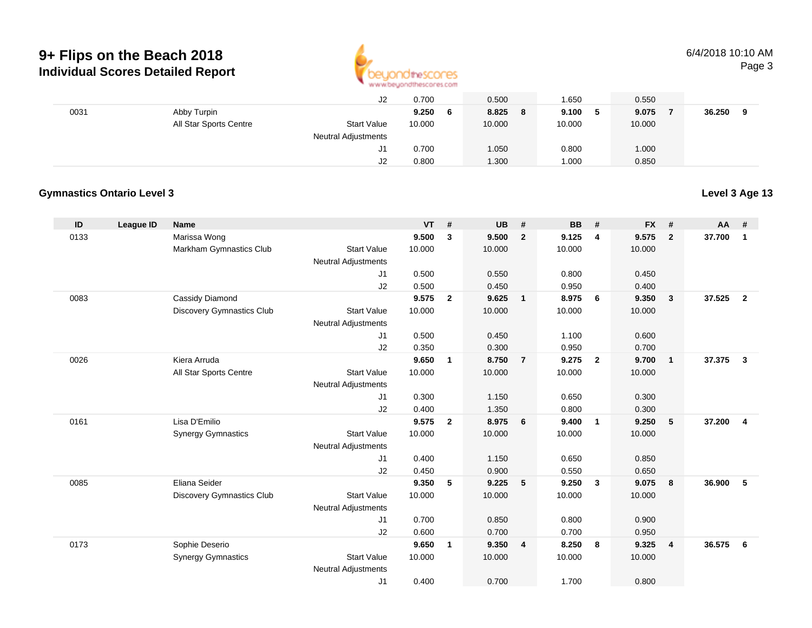

#### 6/4/2018 10:10 AMPage 3

|      |                        | J2                         | 0.700        | 0.500       | .650 ا  | 0.550  |        |
|------|------------------------|----------------------------|--------------|-------------|---------|--------|--------|
| 0031 | Abby Turpin            |                            | 9.250<br>- 6 | 8.825<br>-8 | 9.100 5 | 9.075  | 36.250 |
|      | All Star Sports Centre | <b>Start Value</b>         | 10.000       | 10.000      | 10.000  | 10.000 |        |
|      |                        | <b>Neutral Adjustments</b> |              |             |         |        |        |
|      |                        | J1                         | 0.700        | 1.050       | 0.800   | 1.000  |        |
|      |                        | J2                         | 0.800        | 1.300       | 000.1   | 0.850  |        |

### **Gymnastics Ontario Level 3**

**Level 3 Age 13**

| ID   | League ID | <b>Name</b>                      |                            | <b>VT</b> | #              | <b>UB</b> | #              | <b>BB</b> | #              | <b>FX</b> | #              | <b>AA</b> | #              |
|------|-----------|----------------------------------|----------------------------|-----------|----------------|-----------|----------------|-----------|----------------|-----------|----------------|-----------|----------------|
| 0133 |           | Marissa Wong                     |                            | 9.500     | 3              | 9.500     | $\overline{2}$ | 9.125     | 4              | 9.575     | $\overline{2}$ | 37.700    | $\mathbf{1}$   |
|      |           | Markham Gymnastics Club          | <b>Start Value</b>         | 10.000    |                | 10.000    |                | 10.000    |                | 10.000    |                |           |                |
|      |           |                                  | <b>Neutral Adjustments</b> |           |                |           |                |           |                |           |                |           |                |
|      |           |                                  | J1                         | 0.500     |                | 0.550     |                | 0.800     |                | 0.450     |                |           |                |
|      |           |                                  | J2                         | 0.500     |                | 0.450     |                | 0.950     |                | 0.400     |                |           |                |
| 0083 |           | Cassidy Diamond                  |                            | 9.575     | $\overline{2}$ | 9.625     | $\overline{1}$ | 8.975     | 6              | 9.350     | 3              | 37.525    | $\overline{2}$ |
|      |           | <b>Discovery Gymnastics Club</b> | <b>Start Value</b>         | 10.000    |                | 10.000    |                | 10.000    |                | 10.000    |                |           |                |
|      |           |                                  | <b>Neutral Adjustments</b> |           |                |           |                |           |                |           |                |           |                |
|      |           |                                  | J1                         | 0.500     |                | 0.450     |                | 1.100     |                | 0.600     |                |           |                |
|      |           |                                  | J2                         | 0.350     |                | 0.300     |                | 0.950     |                | 0.700     |                |           |                |
| 0026 |           | Kiera Arruda                     |                            | 9.650     | $\mathbf{1}$   | 8.750     | $\overline{7}$ | 9.275     | $\overline{2}$ | 9.700     | $\overline{1}$ | 37,375    | $\mathbf{3}$   |
|      |           | All Star Sports Centre           | <b>Start Value</b>         | 10.000    |                | 10.000    |                | 10.000    |                | 10.000    |                |           |                |
|      |           |                                  | <b>Neutral Adjustments</b> |           |                |           |                |           |                |           |                |           |                |
|      |           |                                  | J1                         | 0.300     |                | 1.150     |                | 0.650     |                | 0.300     |                |           |                |
|      |           |                                  | J2                         | 0.400     |                | 1.350     |                | 0.800     |                | 0.300     |                |           |                |
| 0161 |           | Lisa D'Emilio                    |                            | 9.575     | $\mathbf{2}$   | 8.975     | 6              | 9.400     | $\overline{1}$ | 9.250     | 5              | 37.200    | 4              |
|      |           | <b>Synergy Gymnastics</b>        | <b>Start Value</b>         | 10.000    |                | 10.000    |                | 10.000    |                | 10.000    |                |           |                |
|      |           |                                  | <b>Neutral Adjustments</b> |           |                |           |                |           |                |           |                |           |                |
|      |           |                                  | J1                         | 0.400     |                | 1.150     |                | 0.650     |                | 0.850     |                |           |                |
|      |           |                                  | J2                         | 0.450     |                | 0.900     |                | 0.550     |                | 0.650     |                |           |                |
| 0085 |           | Eliana Seider                    |                            | 9.350     | 5              | 9.225     | 5              | 9.250     | $\mathbf{3}$   | 9.075     | 8              | 36.900    | 5              |
|      |           | <b>Discovery Gymnastics Club</b> | <b>Start Value</b>         | 10.000    |                | 10.000    |                | 10.000    |                | 10.000    |                |           |                |
|      |           |                                  | Neutral Adjustments        |           |                |           |                |           |                |           |                |           |                |
|      |           |                                  | J1                         | 0.700     |                | 0.850     |                | 0.800     |                | 0.900     |                |           |                |
|      |           |                                  | J2                         | 0.600     |                | 0.700     |                | 0.700     |                | 0.950     |                |           |                |
| 0173 |           | Sophie Deserio                   |                            | 9.650     | $\mathbf{1}$   | 9.350     | $\overline{4}$ | 8.250     | 8              | 9.325     | $\overline{4}$ | 36.575    | 6              |
|      |           | <b>Synergy Gymnastics</b>        | <b>Start Value</b>         | 10.000    |                | 10.000    |                | 10.000    |                | 10.000    |                |           |                |
|      |           |                                  | <b>Neutral Adjustments</b> |           |                |           |                |           |                |           |                |           |                |
|      |           |                                  | J1                         | 0.400     |                | 0.700     |                | 1.700     |                | 0.800     |                |           |                |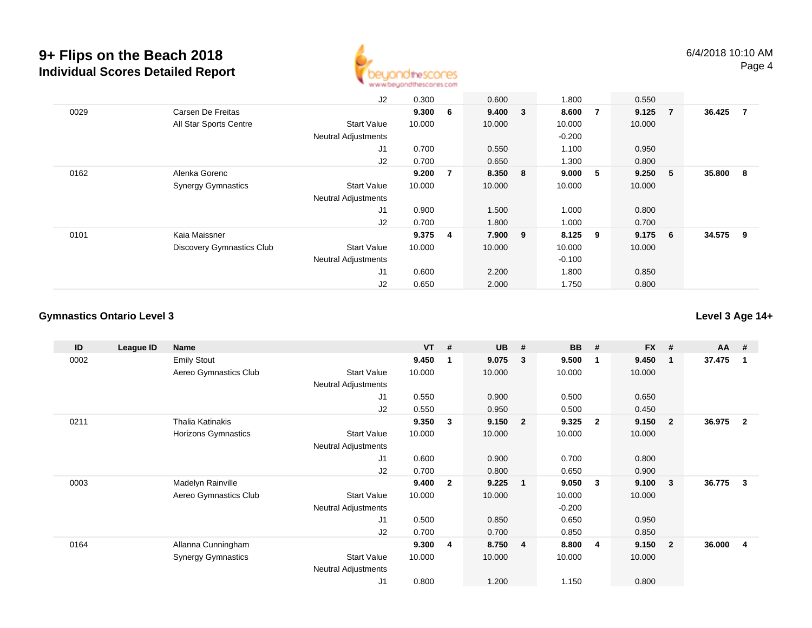

|      |                                  | J2                         | 0.300  |                | 0.600   | 1.800     |                | 0.550     |                |        |     |
|------|----------------------------------|----------------------------|--------|----------------|---------|-----------|----------------|-----------|----------------|--------|-----|
| 0029 | Carsen De Freitas                |                            | 9.300  | 6              | 9.400 3 | 8.600     | $\overline{7}$ | 9.125     | $\overline{7}$ | 36.425 | - 7 |
|      | All Star Sports Centre           | <b>Start Value</b>         | 10.000 |                | 10.000  | 10.000    |                | 10.000    |                |        |     |
|      |                                  | <b>Neutral Adjustments</b> |        |                |         | $-0.200$  |                |           |                |        |     |
|      |                                  | J <sub>1</sub>             | 0.700  |                | 0.550   | 1.100     |                | 0.950     |                |        |     |
|      |                                  | J2                         | 0.700  |                | 0.650   | 1.300     |                | 0.800     |                |        |     |
| 0162 | Alenka Gorenc                    |                            | 9.200  | $\overline{7}$ | 8.350 8 | 9.000     | 5              | 9.250     | - 5            | 35.800 | - 8 |
|      | <b>Synergy Gymnastics</b>        | <b>Start Value</b>         | 10.000 |                | 10.000  | 10.000    |                | 10.000    |                |        |     |
|      |                                  | <b>Neutral Adjustments</b> |        |                |         |           |                |           |                |        |     |
|      |                                  | J <sub>1</sub>             | 0.900  |                | 1.500   | 1.000     |                | 0.800     |                |        |     |
|      |                                  | J2                         | 0.700  |                | 1.800   | 1.000     |                | 0.700     |                |        |     |
| 0101 | Kaia Maissner                    |                            | 9.375  | 4              | 7.900 9 | $8.125$ 9 |                | $9.175$ 6 |                | 34.575 | - 9 |
|      | <b>Discovery Gymnastics Club</b> | <b>Start Value</b>         | 10.000 |                | 10.000  | 10.000    |                | 10.000    |                |        |     |
|      |                                  | <b>Neutral Adjustments</b> |        |                |         | $-0.100$  |                |           |                |        |     |
|      |                                  | J <sub>1</sub>             | 0.600  |                | 2.200   | 1.800     |                | 0.850     |                |        |     |
|      |                                  | J2                         | 0.650  |                | 2.000   | 1.750     |                | 0.800     |                |        |     |

### **Gymnastics Ontario Level 3**

**Level 3 Age 14+**

| ID   | League ID | <b>Name</b>               |                            | <b>VT</b> | #              | <b>UB</b> | #                       | <b>BB</b> | #              | <b>FX</b> | #              | $AA$ # |                |
|------|-----------|---------------------------|----------------------------|-----------|----------------|-----------|-------------------------|-----------|----------------|-----------|----------------|--------|----------------|
| 0002 |           | <b>Emily Stout</b>        |                            | 9.450     | 1              | 9.075     | - 3                     | 9.500     | -1             | 9.450     | 1              | 37.475 | -1             |
|      |           | Aereo Gymnastics Club     | <b>Start Value</b>         | 10.000    |                | 10.000    |                         | 10.000    |                | 10.000    |                |        |                |
|      |           |                           | <b>Neutral Adjustments</b> |           |                |           |                         |           |                |           |                |        |                |
|      |           |                           | J <sub>1</sub>             | 0.550     |                | 0.900     |                         | 0.500     |                | 0.650     |                |        |                |
|      |           |                           | J <sub>2</sub>             | 0.550     |                | 0.950     |                         | 0.500     |                | 0.450     |                |        |                |
| 0211 |           | <b>Thalia Katinakis</b>   |                            | 9.350     | 3              | 9.150     | $\overline{\mathbf{2}}$ | 9.325     | $\overline{2}$ | 9.150     | $\mathbf{2}$   | 36.975 | $\overline{2}$ |
|      |           | Horizons Gymnastics       | <b>Start Value</b>         | 10.000    |                | 10.000    |                         | 10.000    |                | 10.000    |                |        |                |
|      |           |                           | Neutral Adjustments        |           |                |           |                         |           |                |           |                |        |                |
|      |           |                           | J1                         | 0.600     |                | 0.900     |                         | 0.700     |                | 0.800     |                |        |                |
|      |           |                           | J <sub>2</sub>             | 0.700     |                | 0.800     |                         | 0.650     |                | 0.900     |                |        |                |
| 0003 |           | Madelyn Rainville         |                            | 9.400     | $\overline{2}$ | 9.225     | $\overline{\mathbf{1}}$ | 9.050     | 3              | 9.100     | 3              | 36.775 | $\mathbf{3}$   |
|      |           | Aereo Gymnastics Club     | <b>Start Value</b>         | 10.000    |                | 10.000    |                         | 10.000    |                | 10.000    |                |        |                |
|      |           |                           | <b>Neutral Adjustments</b> |           |                |           |                         | $-0.200$  |                |           |                |        |                |
|      |           |                           | J <sub>1</sub>             | 0.500     |                | 0.850     |                         | 0.650     |                | 0.950     |                |        |                |
|      |           |                           | J <sub>2</sub>             | 0.700     |                | 0.700     |                         | 0.850     |                | 0.850     |                |        |                |
| 0164 |           | Allanna Cunningham        |                            | 9.300     | 4              | 8.750     | $\overline{4}$          | 8.800     | -4             | 9.150     | $\overline{2}$ | 36.000 | 4              |
|      |           | <b>Synergy Gymnastics</b> | <b>Start Value</b>         | 10.000    |                | 10.000    |                         | 10.000    |                | 10.000    |                |        |                |
|      |           |                           | <b>Neutral Adjustments</b> |           |                |           |                         |           |                |           |                |        |                |
|      |           |                           | J <sub>1</sub>             | 0.800     |                | 1.200     |                         | 1.150     |                | 0.800     |                |        |                |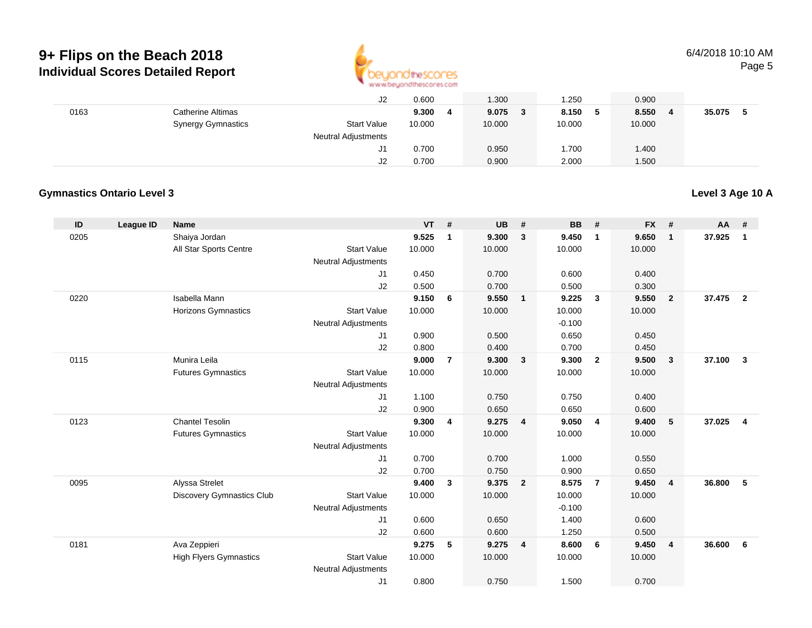

#### 6/4/2018 10:10 AMPage 5

|      |                           | J2                         | 0.600  | 1.300  | 1.250        | 0.900  |        |
|------|---------------------------|----------------------------|--------|--------|--------------|--------|--------|
| 0163 | Catherine Altimas         |                            | 9.300  | 9.075  | 8.150<br>- 5 | 8.550  | 35.075 |
|      | <b>Synergy Gymnastics</b> | <b>Start Value</b>         | 10.000 | 10.000 | 10.000       | 10.000 |        |
|      |                           | <b>Neutral Adjustments</b> |        |        |              |        |        |
|      |                           |                            | 0.700  | 0.950  | 1.700        | 1.400  |        |
|      |                           | J2                         | 0.700  | 0.900  | 2.000        | 1.500  |        |

### **Gymnastics Ontario Level 3**

**Level 3 Age 10 A**

| ID   | <b>League ID</b> | <b>Name</b>                   |                                  | <b>VT</b> | #              | <b>UB</b> | #              | <b>BB</b> | #              | <b>FX</b> | #                       | <b>AA</b> | #              |
|------|------------------|-------------------------------|----------------------------------|-----------|----------------|-----------|----------------|-----------|----------------|-----------|-------------------------|-----------|----------------|
| 0205 |                  | Shaiya Jordan                 |                                  | 9.525     | $\mathbf 1$    | 9.300     | $\overline{3}$ | 9.450     | $\overline{1}$ | 9.650     | $\overline{\mathbf{1}}$ | 37.925    | $\mathbf{1}$   |
|      |                  | All Star Sports Centre        | <b>Start Value</b>               | 10.000    |                | 10.000    |                | 10.000    |                | 10.000    |                         |           |                |
|      |                  |                               | <b>Neutral Adjustments</b>       |           |                |           |                |           |                |           |                         |           |                |
|      |                  |                               | J1                               | 0.450     |                | 0.700     |                | 0.600     |                | 0.400     |                         |           |                |
|      |                  |                               | J2                               | 0.500     |                | 0.700     |                | 0.500     |                | 0.300     |                         |           |                |
| 0220 |                  | Isabella Mann                 |                                  | 9.150     | 6              | 9.550     | $\mathbf{1}$   | 9.225     | $\mathbf{3}$   | 9.550     | $\overline{2}$          | 37.475    | $\overline{2}$ |
|      |                  | <b>Horizons Gymnastics</b>    | <b>Start Value</b>               | 10.000    |                | 10.000    |                | 10.000    |                | 10.000    |                         |           |                |
|      |                  |                               | <b>Neutral Adjustments</b>       |           |                |           |                | $-0.100$  |                |           |                         |           |                |
|      |                  |                               | J1                               | 0.900     |                | 0.500     |                | 0.650     |                | 0.450     |                         |           |                |
|      |                  |                               | J2                               | 0.800     |                | 0.400     |                | 0.700     |                | 0.450     |                         |           |                |
| 0115 |                  | Munira Leila                  |                                  | 9.000     | $\overline{7}$ | 9.300     | $\mathbf{3}$   | 9.300     | $\overline{2}$ | 9.500     | $\mathbf{3}$            | 37.100    | $\mathbf{3}$   |
|      |                  | <b>Futures Gymnastics</b>     | <b>Start Value</b>               | 10.000    |                | 10.000    |                | 10.000    |                | 10.000    |                         |           |                |
|      |                  |                               | <b>Neutral Adjustments</b>       |           |                |           |                |           |                |           |                         |           |                |
|      |                  |                               | J1                               | 1.100     |                | 0.750     |                | 0.750     |                | 0.400     |                         |           |                |
|      |                  |                               | J2                               | 0.900     |                | 0.650     |                | 0.650     |                | 0.600     |                         |           |                |
| 0123 |                  | <b>Chantel Tesolin</b>        | <b>Start Value</b>               | 9.300     | 4              | 9.275     | 4              | 9.050     | $\overline{4}$ | 9.400     | 5                       | 37.025    | $\overline{4}$ |
|      |                  | <b>Futures Gymnastics</b>     |                                  | 10.000    |                | 10.000    |                | 10.000    |                | 10.000    |                         |           |                |
|      |                  |                               | <b>Neutral Adjustments</b><br>J1 | 0.700     |                | 0.700     |                | 1.000     |                | 0.550     |                         |           |                |
|      |                  |                               | J2                               | 0.700     |                | 0.750     |                | 0.900     |                | 0.650     |                         |           |                |
| 0095 |                  | Alyssa Strelet                |                                  | 9.400     | 3              | 9.375     | $\overline{2}$ | 8.575     | $\overline{7}$ | 9.450     | $\overline{4}$          | 36.800    | -5             |
|      |                  | Discovery Gymnastics Club     | <b>Start Value</b>               | 10.000    |                | 10.000    |                | 10.000    |                | 10.000    |                         |           |                |
|      |                  |                               | <b>Neutral Adjustments</b>       |           |                |           |                | $-0.100$  |                |           |                         |           |                |
|      |                  |                               | J1                               | 0.600     |                | 0.650     |                | 1.400     |                | 0.600     |                         |           |                |
|      |                  |                               | J2                               | 0.600     |                | 0.600     |                | 1.250     |                | 0.500     |                         |           |                |
| 0181 |                  | Ava Zeppieri                  |                                  | 9.275     | 5              | 9.275     | 4              | 8.600     | 6              | 9.450     | $\overline{4}$          | 36.600    | 6              |
|      |                  | <b>High Flyers Gymnastics</b> | <b>Start Value</b>               | 10.000    |                | 10.000    |                | 10.000    |                | 10.000    |                         |           |                |
|      |                  |                               | <b>Neutral Adjustments</b>       |           |                |           |                |           |                |           |                         |           |                |
|      |                  |                               | J1                               | 0.800     |                | 0.750     |                | 1.500     |                | 0.700     |                         |           |                |
|      |                  |                               |                                  |           |                |           |                |           |                |           |                         |           |                |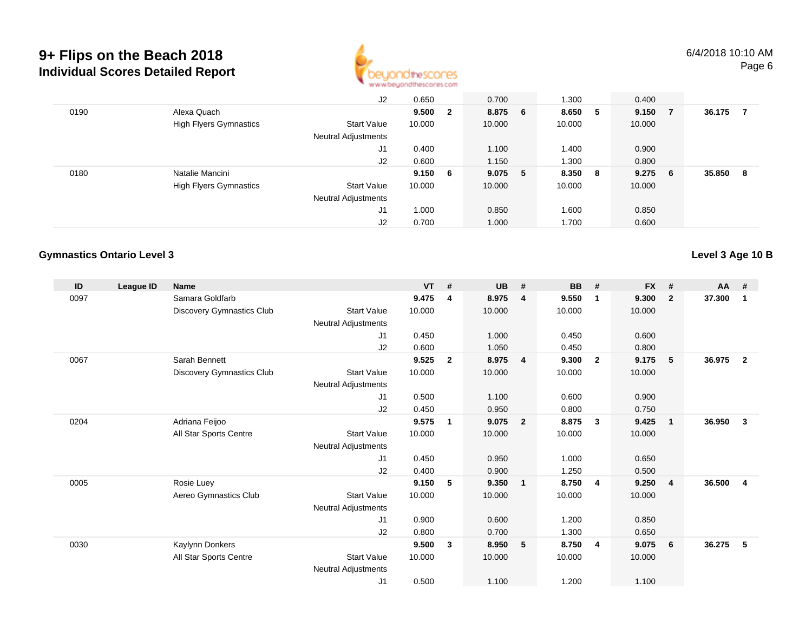

|      |                               | J2                         | 0.650   | 0.700   |    | 1.300   |     | 0.400  |    |        |    |
|------|-------------------------------|----------------------------|---------|---------|----|---------|-----|--------|----|--------|----|
| 0190 | Alexa Quach                   |                            | 9.500 2 | 8.875 6 |    | 8.650 5 |     | 9.150  | -7 | 36.175 |    |
|      | <b>High Flyers Gymnastics</b> | <b>Start Value</b>         | 10.000  | 10.000  |    | 10.000  |     | 10.000 |    |        |    |
|      |                               | <b>Neutral Adjustments</b> |         |         |    |         |     |        |    |        |    |
|      |                               | J1                         | 0.400   | 1.100   |    | 1.400   |     | 0.900  |    |        |    |
|      |                               | J2                         | 0.600   | 1.150   |    | 1.300   |     | 0.800  |    |        |    |
| 0180 | Natalie Mancini               |                            | 9.150 6 | 9.075   | -5 | 8.350   | - 8 | 9.275  | 6  | 35.850 | -8 |
|      | <b>High Flyers Gymnastics</b> | <b>Start Value</b>         | 10.000  | 10.000  |    | 10.000  |     | 10.000 |    |        |    |
|      |                               | <b>Neutral Adjustments</b> |         |         |    |         |     |        |    |        |    |
|      |                               | J1                         | 1.000   | 0.850   |    | 1.600   |     | 0.850  |    |        |    |
|      |                               | J2                         | 0.700   | 1.000   |    | 1.700   |     | 0.600  |    |        |    |

#### **Gymnastics Ontario Level 3**

**Level 3 Age 10 B**

| ID   | League ID | <b>Name</b>                      |                            | <b>VT</b> | #                       | <b>UB</b> | #                       | <b>BB</b> | #              | <b>FX</b> | #            | AA #   |                |
|------|-----------|----------------------------------|----------------------------|-----------|-------------------------|-----------|-------------------------|-----------|----------------|-----------|--------------|--------|----------------|
| 0097 |           | Samara Goldfarb                  |                            | 9.475     | $\overline{\mathbf{4}}$ | 8.975     | $\overline{4}$          | 9.550     | $\overline{1}$ | 9.300     | $\mathbf{2}$ | 37.300 | $\mathbf 1$    |
|      |           | <b>Discovery Gymnastics Club</b> | <b>Start Value</b>         | 10.000    |                         | 10.000    |                         | 10.000    |                | 10.000    |              |        |                |
|      |           |                                  | Neutral Adjustments        |           |                         |           |                         |           |                |           |              |        |                |
|      |           |                                  | J1                         | 0.450     |                         | 1.000     |                         | 0.450     |                | 0.600     |              |        |                |
|      |           |                                  | J2                         | 0.600     |                         | 1.050     |                         | 0.450     |                | 0.800     |              |        |                |
| 0067 |           | Sarah Bennett                    |                            | 9.525     | $\mathbf{2}$            | 8.975     | $\overline{4}$          | 9.300     | $\overline{2}$ | 9.175     | 5            | 36.975 | $\overline{2}$ |
|      |           | Discovery Gymnastics Club        | <b>Start Value</b>         | 10.000    |                         | 10.000    |                         | 10.000    |                | 10.000    |              |        |                |
|      |           |                                  | Neutral Adjustments        |           |                         |           |                         |           |                |           |              |        |                |
|      |           |                                  | J1                         | 0.500     |                         | 1.100     |                         | 0.600     |                | 0.900     |              |        |                |
|      |           |                                  | J2                         | 0.450     |                         | 0.950     |                         | 0.800     |                | 0.750     |              |        |                |
| 0204 |           | Adriana Feijoo                   |                            | 9.575     | 1                       | 9.075     | $\overline{\mathbf{2}}$ | 8.875     | 3              | 9.425     | $\mathbf{1}$ | 36.950 | 3              |
|      |           | All Star Sports Centre           | <b>Start Value</b>         | 10.000    |                         | 10.000    |                         | 10.000    |                | 10.000    |              |        |                |
|      |           |                                  | Neutral Adjustments        |           |                         |           |                         |           |                |           |              |        |                |
|      |           |                                  | J1                         | 0.450     |                         | 0.950     |                         | 1.000     |                | 0.650     |              |        |                |
|      |           |                                  | J2                         | 0.400     |                         | 0.900     |                         | 1.250     |                | 0.500     |              |        |                |
| 0005 |           | Rosie Luey                       |                            | 9.150     | 5                       | 9.350     | $\overline{\mathbf{1}}$ | 8.750     | -4             | 9.250     | 4            | 36.500 | 4              |
|      |           | Aereo Gymnastics Club            | <b>Start Value</b>         | 10.000    |                         | 10.000    |                         | 10.000    |                | 10.000    |              |        |                |
|      |           |                                  | Neutral Adjustments        |           |                         |           |                         |           |                |           |              |        |                |
|      |           |                                  | J1                         | 0.900     |                         | 0.600     |                         | 1.200     |                | 0.850     |              |        |                |
|      |           |                                  | J2                         | 0.800     |                         | 0.700     |                         | 1.300     |                | 0.650     |              |        |                |
| 0030 |           | Kaylynn Donkers                  |                            | 9.500     | 3                       | 8.950     | 5                       | 8.750     | 4              | 9.075     | 6            | 36.275 | 5              |
|      |           | All Star Sports Centre           | <b>Start Value</b>         | 10.000    |                         | 10.000    |                         | 10.000    |                | 10.000    |              |        |                |
|      |           |                                  | <b>Neutral Adjustments</b> |           |                         |           |                         |           |                |           |              |        |                |
|      |           |                                  | J1                         | 0.500     |                         | 1.100     |                         | 1.200     |                | 1.100     |              |        |                |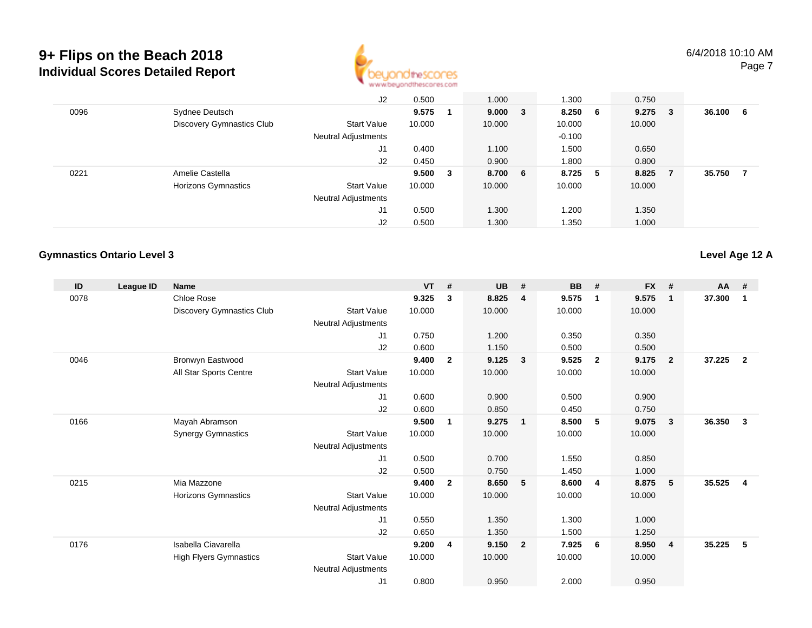

|      |                           | J2                         | 0.500  |     | 1.000   | 1.300    |     | 0.750  |   |        |    |
|------|---------------------------|----------------------------|--------|-----|---------|----------|-----|--------|---|--------|----|
| 0096 | Sydnee Deutsch            |                            | 9.575  |     | 9.000 3 | 8.250    | 6   | 9.275  | 3 | 36.100 | -6 |
|      | Discovery Gymnastics Club | <b>Start Value</b>         | 10.000 |     | 10.000  | 10.000   |     | 10.000 |   |        |    |
|      |                           | <b>Neutral Adjustments</b> |        |     |         | $-0.100$ |     |        |   |        |    |
|      |                           | J1                         | 0.400  |     | 1.100   | 1.500    |     | 0.650  |   |        |    |
|      |                           | J2                         | 0.450  |     | 0.900   | 1.800    |     | 0.800  |   |        |    |
| 0221 | Amelie Castella           |                            | 9.500  | - 3 | 8.700 6 | 8.725    | - 5 | 8.825  | 7 | 35.750 |    |
|      | Horizons Gymnastics       | <b>Start Value</b>         | 10.000 |     | 10.000  | 10.000   |     | 10.000 |   |        |    |
|      |                           | <b>Neutral Adjustments</b> |        |     |         |          |     |        |   |        |    |
|      |                           | J1                         | 0.500  |     | 1.300   | .200     |     | 1.350  |   |        |    |
|      |                           | J2                         | 0.500  |     | 1.300   | 1.350    |     | 1.000  |   |        |    |

#### **Gymnastics Ontario Level 3**

**Level Age 12 A**

| ID   | League ID | <b>Name</b>                   |                            | <b>VT</b> | #              | <b>UB</b> | #                       | <b>BB</b> | #                       | <b>FX</b> | #              | AA #   |                |
|------|-----------|-------------------------------|----------------------------|-----------|----------------|-----------|-------------------------|-----------|-------------------------|-----------|----------------|--------|----------------|
| 0078 |           | Chloe Rose                    |                            | 9.325     | 3              | 8.825     | $\overline{4}$          | 9.575     | $\overline{1}$          | 9.575     | $\mathbf{1}$   | 37.300 | $\mathbf 1$    |
|      |           | Discovery Gymnastics Club     | <b>Start Value</b>         | 10.000    |                | 10.000    |                         | 10.000    |                         | 10.000    |                |        |                |
|      |           |                               | Neutral Adjustments        |           |                |           |                         |           |                         |           |                |        |                |
|      |           |                               | J1                         | 0.750     |                | 1.200     |                         | 0.350     |                         | 0.350     |                |        |                |
|      |           |                               | J <sub>2</sub>             | 0.600     |                | 1.150     |                         | 0.500     |                         | 0.500     |                |        |                |
| 0046 |           | Bronwyn Eastwood              |                            | 9.400     | $\mathbf{2}$   | 9.125     | $\overline{\mathbf{3}}$ | 9.525     | $\overline{\mathbf{2}}$ | 9.175     | $\overline{2}$ | 37.225 | $\overline{2}$ |
|      |           | All Star Sports Centre        | <b>Start Value</b>         | 10.000    |                | 10.000    |                         | 10.000    |                         | 10.000    |                |        |                |
|      |           |                               | Neutral Adjustments        |           |                |           |                         |           |                         |           |                |        |                |
|      |           |                               | J <sub>1</sub>             | 0.600     |                | 0.900     |                         | 0.500     |                         | 0.900     |                |        |                |
|      |           |                               | J <sub>2</sub>             | 0.600     |                | 0.850     |                         | 0.450     |                         | 0.750     |                |        |                |
| 0166 |           | Mayah Abramson                |                            | 9.500     | 1              | 9.275     | $\overline{1}$          | 8.500     | 5                       | 9.075     | 3              | 36.350 | 3              |
|      |           | <b>Synergy Gymnastics</b>     | <b>Start Value</b>         | 10.000    |                | 10.000    |                         | 10.000    |                         | 10.000    |                |        |                |
|      |           |                               | Neutral Adjustments        |           |                |           |                         |           |                         |           |                |        |                |
|      |           |                               | J <sub>1</sub>             | 0.500     |                | 0.700     |                         | 1.550     |                         | 0.850     |                |        |                |
|      |           |                               | J <sub>2</sub>             | 0.500     |                | 0.750     |                         | 1.450     |                         | 1.000     |                |        |                |
| 0215 |           | Mia Mazzone                   |                            | 9.400     | $\overline{2}$ | 8.650     | $-5$                    | 8.600     | -4                      | 8.875     | 5              | 35.525 | $\overline{4}$ |
|      |           | Horizons Gymnastics           | <b>Start Value</b>         | 10.000    |                | 10.000    |                         | 10.000    |                         | 10.000    |                |        |                |
|      |           |                               | Neutral Adjustments        |           |                |           |                         |           |                         |           |                |        |                |
|      |           |                               | J1                         | 0.550     |                | 1.350     |                         | 1.300     |                         | 1.000     |                |        |                |
|      |           |                               | J <sub>2</sub>             | 0.650     |                | 1.350     |                         | 1.500     |                         | 1.250     |                |        |                |
| 0176 |           | Isabella Ciavarella           |                            | 9.200     | 4              | 9.150     | $\overline{2}$          | 7.925     | - 6                     | 8.950     | 4              | 35.225 | 5              |
|      |           | <b>High Flyers Gymnastics</b> | <b>Start Value</b>         | 10.000    |                | 10.000    |                         | 10.000    |                         | 10.000    |                |        |                |
|      |           |                               | <b>Neutral Adjustments</b> |           |                |           |                         |           |                         |           |                |        |                |
|      |           |                               | J1                         | 0.800     |                | 0.950     |                         | 2.000     |                         | 0.950     |                |        |                |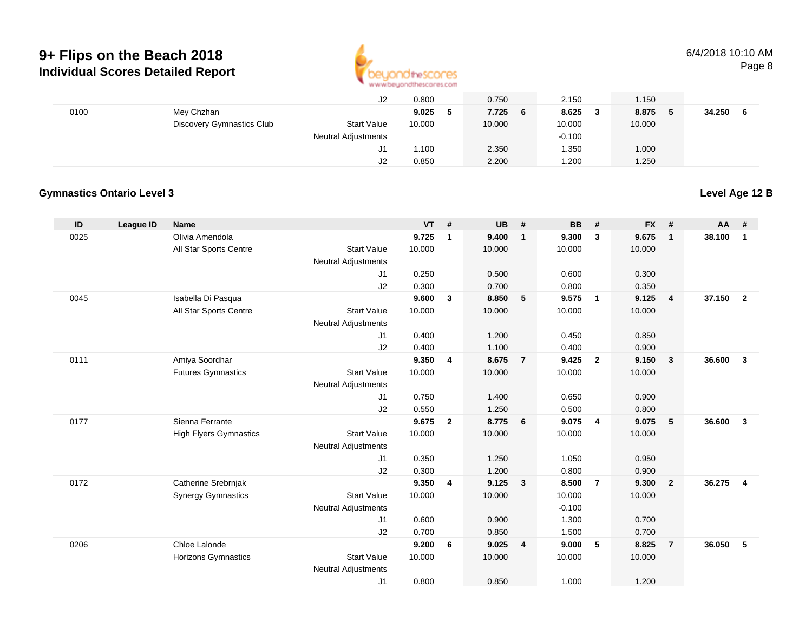

|      |                                  | J2                         | 0.800  | 0.750       | 2.150    | 1.150       |             |  |
|------|----------------------------------|----------------------------|--------|-------------|----------|-------------|-------------|--|
| 0100 | Mey Chzhan                       |                            | 9.025  | 7.725<br>-6 | 8.625    | 8.875<br>-5 | 34.250<br>6 |  |
|      | <b>Discovery Gymnastics Club</b> | <b>Start Value</b>         | 10.000 | 10.000      | 10.000   | 10.000      |             |  |
|      |                                  | <b>Neutral Adjustments</b> |        |             | $-0.100$ |             |             |  |
|      |                                  | J1                         | 1.100  | 2.350       | .350     | 1.000       |             |  |
|      |                                  | J2                         | 0.850  | 2.200       | .200     | 1.250       |             |  |

#### **Gymnastics Ontario Level 3**

**ID League ID Name VT # UB # BB # FX # AA #** 0025 Olivia Amendola **9.725 <sup>1</sup> 9.400 <sup>1</sup> 9.300 <sup>3</sup> 9.675 <sup>1</sup> 38.100 <sup>1</sup>** All Star Sports Centre Start Value 10.000 10.000 10.000 10.000 Neutral Adjustments J1 0.250 0.500 0.600 0.300 J2 0.300 0.700 0.800 0.350 0045 Isabella Di Pasqua **9.600 <sup>3</sup> 8.850 <sup>5</sup> 9.575 <sup>1</sup> 9.125 <sup>4</sup> 37.150 <sup>2</sup>** All Star Sports Centre Start Value 10.000 10.000 10.000 10.000 Neutral Adjustments J1 0.400 1.200 0.450 0.850 J2 0.400 1.100 0.400 0.900 0111 Amiya Soordhar **9.350 <sup>4</sup> 8.675 <sup>7</sup> 9.425 <sup>2</sup> 9.150 <sup>3</sup> 36.600 <sup>3</sup>** Futures Gymnastics Start Valuee 10.000 10.000 10.000 10.000 Neutral Adjustments J1 0.750 1.400 0.650 0.900 J2 0.550 1.250 0.500 0.800 0177 Sienna Ferrante **9.675 <sup>2</sup> 8.775 <sup>6</sup> 9.075 <sup>4</sup> 9.075 <sup>5</sup> 36.600 <sup>3</sup>** High Flyers Gymnastics Start Valuee 10.000 10.000 10.000 10.000 Neutral Adjustments J1 0.350 1.250 1.050 0.950 J2 0.300 1.200 0.800 0.900 0172 Catherine Srebrnjak **9.350 <sup>4</sup> 9.125 <sup>3</sup> 8.500 <sup>7</sup> 9.300 <sup>2</sup> 36.275 <sup>4</sup>** Synergy Gymnastics Start Valuee 10.000 10.000 10.000 10.000 Neutral Adjustments $-0.100$ 1.300 J1 0.600 0.900 1.300 0.700 J2 0.700 0.850 1.500 0.700 0206 Chloe Lalonde **9.200 <sup>6</sup> 9.025 <sup>4</sup> 9.000 <sup>5</sup> 8.825 <sup>7</sup> 36.050 <sup>5</sup>** Horizons Gymnastics Start Valuee 10.000 10.000 10.000 10.000 Neutral Adjustments J10.800 0.850 1.000 1.200

**Level Age 12 B**